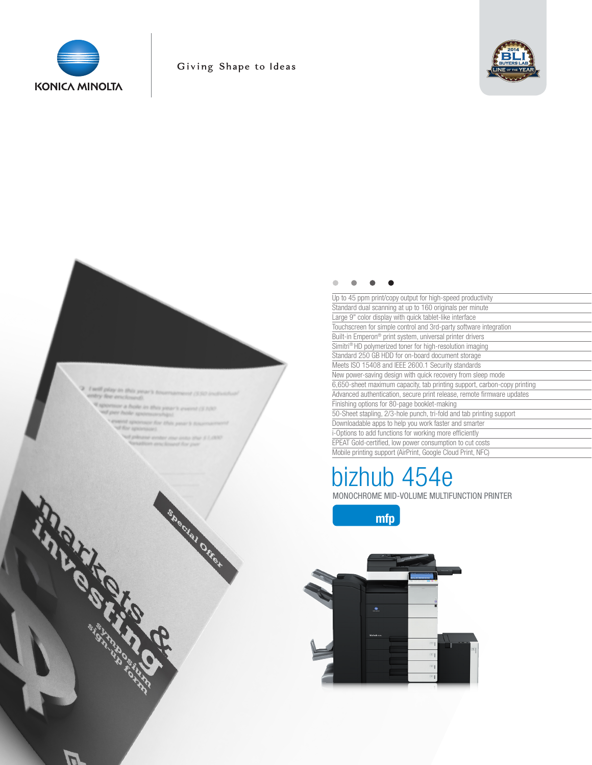

## Giving Shape to Ideas



#### $\bullet$  $\bullet$

| Up to 45 ppm print/copy output for high-speed productivity               |
|--------------------------------------------------------------------------|
| Standard dual scanning at up to 160 originals per minute                 |
| Large 9" color display with quick tablet-like interface                  |
| Touchscreen for simple control and 3rd-party software integration        |
| Built-in Emperon <sup>®</sup> print system, universal printer drivers    |
| Simitri <sup>®</sup> HD polymerized toner for high-resolution imaging    |
| Standard 250 GB HDD for on-board document storage                        |
| Meets ISO 15408 and IEEE 2600.1 Security standards                       |
| New power-saving design with quick recovery from sleep mode              |
| 6,650-sheet maximum capacity, tab printing support, carbon-copy printing |
| Advanced authentication, secure print release, remote firmware updates   |
| Finishing options for 80-page booklet-making                             |
| 50-Sheet stapling, 2/3-hole punch, tri-fold and tab printing support     |
| Downloadable apps to help you work faster and smarter                    |
| i-Options to add functions for working more efficiently                  |
| EPEAT Gold-certified, low power consumption to cut costs                 |
| Mobile printing support (AirPrint, Google Cloud Print, NEC)              |

# bizhub 454e MONOCHROME MID-VOLUME MULTIFUNCTION PRINTER







Sheeting Offer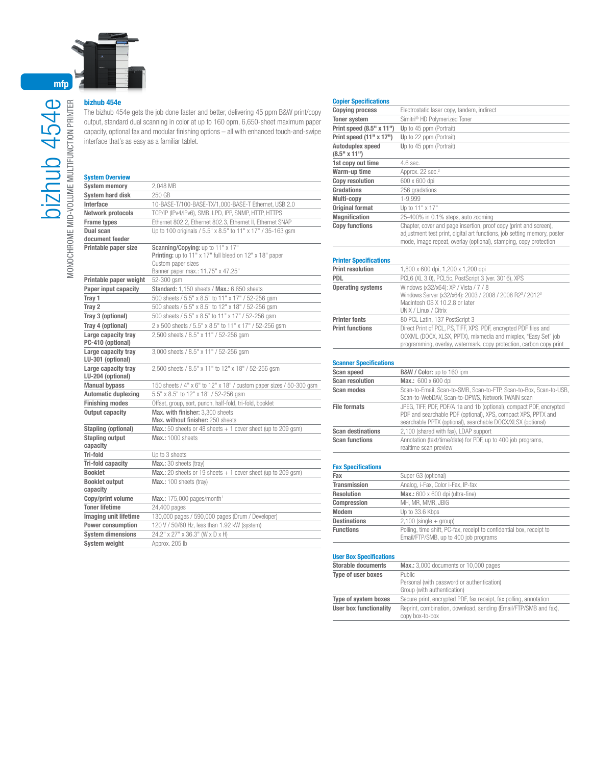

### bizhub 454e

The bizhub 454e gets the job done faster and better, delivering 45 ppm B&W print/copy output, standard dual scanning in color at up to 160 opm, 6,650-sheet maximum paper capacity, optional fax and modular finishing options – all with enhanced touch-and-swipe interface that's as easy as a familiar tablet.

#### System Overview

| JYSICIII UVCI VICW                       |                                                                                                          |
|------------------------------------------|----------------------------------------------------------------------------------------------------------|
| <b>System memory</b>                     | 2,048 MB                                                                                                 |
| <b>System hard disk</b>                  | 250 GB                                                                                                   |
| Interface                                | 10-BASE-T/100-BASE-TX/1,000-BASE-T Ethernet, USB 2.0                                                     |
| Network protocols                        | TCP/IP (IPv4/IPv6), SMB, LPD, IPP, SNMP, HTTP, HTTPS                                                     |
| <b>Frame types</b>                       | Ethernet 802.2, Ethernet 802.3, Ethernet II, Ethernet SNAP                                               |
| Dual scan                                | Up to 100 originals / 5.5" x 8.5" to 11" x 17" / 35-163 gsm                                              |
| document feeder                          |                                                                                                          |
| Printable paper size                     | Scanning/Copying: up to 11" x 17"                                                                        |
|                                          | Printing: up to 11" x 17" full bleed on 12" x 18" paper                                                  |
|                                          | Custom paper sizes<br>Banner paper max.: 11.75" x 47.25"                                                 |
| Printable paper weight                   | 52-300 asm                                                                                               |
| Paper input capacity                     | Standard: 1,150 sheets / Max.: 6,650 sheets                                                              |
| Tray 1                                   |                                                                                                          |
| Tray 2                                   | 500 sheets / 5.5" x 8.5" to 11" x 17" / 52-256 gsm<br>500 sheets / 5.5" x 8.5" to 12" x 18" / 52-256 gsm |
| Tray 3 (optional)                        | 500 sheets / 5.5" x 8.5" to 11" x 17" / 52-256 gsm                                                       |
|                                          |                                                                                                          |
| Tray 4 (optional)                        | 2 x 500 sheets / 5.5" x 8.5" to 11" x 17" / 52-256 gsm                                                   |
| Large capacity trav<br>PC-410 (optional) | 2,500 sheets / 8.5" x 11" / 52-256 qsm                                                                   |
| Large capacity tray<br>LU-301 (optional) | 3,000 sheets / 8.5" x 11" / 52-256 qsm                                                                   |
| Large capacity tray<br>LU-204 (optional) | 2,500 sheets / 8.5" x 11" to 12" x 18" / 52-256 gsm                                                      |
| <b>Manual bypass</b>                     | 150 sheets / 4" x 6" to 12" x 18" / custom paper sizes / 50-300 qsm                                      |
| <b>Automatic duplexing</b>               | 5.5" x 8.5" to 12" x 18" / 52-256 gsm                                                                    |
| <b>Finishing modes</b>                   | Offset, group, sort, punch, half-fold, tri-fold, booklet                                                 |
| <b>Output capacity</b>                   | Max. with finisher: 3.300 sheets<br>Max, without finisher: 250 sheets                                    |
| Stapling (optional)                      | <b>Max.:</b> 50 sheets or 48 sheets $+1$ cover sheet (up to 209 gsm)                                     |
| <b>Stapling output</b><br>capacity       | Max.: 1000 sheets                                                                                        |
| Tri-fold                                 | Up to 3 sheets                                                                                           |
| Tri-fold capacity                        | Max.: 30 sheets (tray)                                                                                   |
| <b>Booklet</b>                           | Max.: 20 sheets or 19 sheets $+$ 1 cover sheet (up to 209 gsm)                                           |
| <b>Booklet output</b>                    | Max.: 100 sheets (tray)                                                                                  |
| capacity                                 |                                                                                                          |
| Copy/print volume                        | Max.: $175,000$ pages/month <sup>1</sup>                                                                 |
| <b>Toner lifetime</b>                    | 24,400 pages                                                                                             |
| <b>Imaging unit lifetime</b>             | 130,000 pages / 590,000 pages (Drum / Developer)                                                         |
| Power consumption                        | 120 V / 50/60 Hz, less than 1.92 kW (system)                                                             |
| <b>System dimensions</b>                 | 24.2" x 27" x 36.3" (W x D x H)                                                                          |
| <b>System weight</b>                     | Approx. 205 lb                                                                                           |

#### Copier Specifications

| <b>Copying process</b>    | Electrostatic laser copy, tandem, indirect                                                                                                                                                                         |
|---------------------------|--------------------------------------------------------------------------------------------------------------------------------------------------------------------------------------------------------------------|
| <b>Toner system</b>       | Simitri <sup>®</sup> HD Polymerized Toner                                                                                                                                                                          |
| Print speed (8.5" x 11")  | Up to 45 ppm (Portrait)                                                                                                                                                                                            |
| Print speed $(11" x 17")$ | Up to 22 ppm (Portrait)                                                                                                                                                                                            |
| Autoduplex speed          | Up to 45 ppm (Portrait)                                                                                                                                                                                            |
| $(8.5"$ x 11")            |                                                                                                                                                                                                                    |
| 1st copy out time         | $4.6$ sec.                                                                                                                                                                                                         |
| Warm-up time              | Approx. 22 sec. <sup>2</sup>                                                                                                                                                                                       |
| <b>Copy resolution</b>    | 600 x 600 dpi                                                                                                                                                                                                      |
| Gradations                | 256 gradations                                                                                                                                                                                                     |
| Multi-copy                | 1-9.999                                                                                                                                                                                                            |
| <b>Original format</b>    | Up to 11" x 17"                                                                                                                                                                                                    |
| <b>Magnification</b>      | 25-400% in 0.1% steps, auto zooming                                                                                                                                                                                |
| <b>Copy functions</b>     | Chapter, cover and page insertion, proof copy (print and screen),<br>adjustment test print, digital art functions, job setting memory, poster<br>mode, image repeat, overlay (optional), stamping, copy protection |
|                           |                                                                                                                                                                                                                    |

#### Printer Specifications

| <b>Print resolution</b>  | 1,800 x 600 dpi, 1,200 x 1,200 dpi                                                                                                                                                                        |
|--------------------------|-----------------------------------------------------------------------------------------------------------------------------------------------------------------------------------------------------------|
| <b>PDL</b>               | PCL6 (XL 3.0), PCL5c, PostScript 3 (ver. 3016), XPS                                                                                                                                                       |
| <b>Operating systems</b> | Windows (x32/x64): XP / Vista / 7 / 8<br>Windows Server (x32/x64): 2003 / 2008 / 2008 R23 / 20123<br>Macintosh OS X 10.2.8 or later<br>UNIX / Linux / Citrix                                              |
| <b>Printer fonts</b>     | 80 PCL Latin, 137 PostScript 3                                                                                                                                                                            |
| <b>Print functions</b>   | Direct Print of PCL, PS, TIFF, XPS, PDF, encrypted PDF files and<br>OOXML (DOCX, XLSX, PPTX), mixmedia and mixplex, "Easy Set" job<br>programming, overlay, watermark, copy protection, carbon copy print |

#### Scanner Specifications

| Scan speed               | B&W / Color: up to 160 ipm                                                                                                                                                                          |
|--------------------------|-----------------------------------------------------------------------------------------------------------------------------------------------------------------------------------------------------|
| <b>Scan resolution</b>   | Max.: 600 x 600 dpi                                                                                                                                                                                 |
| <b>Scan modes</b>        | Scan-to-Email, Scan-to-SMB, Scan-to-FTP, Scan-to-Box, Scan-to-USB,<br>Scan-to-WebDAV, Scan-to-DPWS, Network TWAIN scan                                                                              |
| <b>File formats</b>      | JPEG, TIFF, PDF, PDF/A 1a and 1b (optional), compact PDF, encrypted<br>PDF and searchable PDF (optional), XPS, compact XPS, PPTX and<br>searchable PPTX (optional), searchable DOCX/XLSX (optional) |
| <b>Scan destinations</b> | 2.100 (shared with fax). LDAP support                                                                                                                                                               |
| <b>Scan functions</b>    | Annotation (text/time/date) for PDF, up to 400 job programs,<br>realtime scan preview                                                                                                               |

#### Fax Specifications

| Fax                 | Super G3 (optional)                                                                                           |
|---------------------|---------------------------------------------------------------------------------------------------------------|
| <b>Transmission</b> | Analog, i-Fax, Color i-Fax, IP-fax                                                                            |
| <b>Resolution</b>   | Max.: 600 x 600 dpi (ultra-fine)                                                                              |
| Compression         | MH, MR, MMR, JBIG                                                                                             |
| <b>Modem</b>        | Up to 33.6 Kbps                                                                                               |
| <b>Destinations</b> | $2,100$ (single $+$ group)                                                                                    |
| <b>Functions</b>    | Polling, time shift, PC-fax, receipt to confidential box, receipt to<br>Email/FTP/SMB, up to 400 job programs |

#### User Box Specifications

| Max.: 3,000 documents or 10,000 pages                             |
|-------------------------------------------------------------------|
| Public                                                            |
| Personal (with password or authentication)                        |
| Group (with authentication)                                       |
| Secure print, encrypted PDF, fax receipt, fax polling, annotation |
| Reprint, combination, download, sending (Email/FTP/SMB and fax),  |
| copy box-to-box                                                   |
|                                                                   |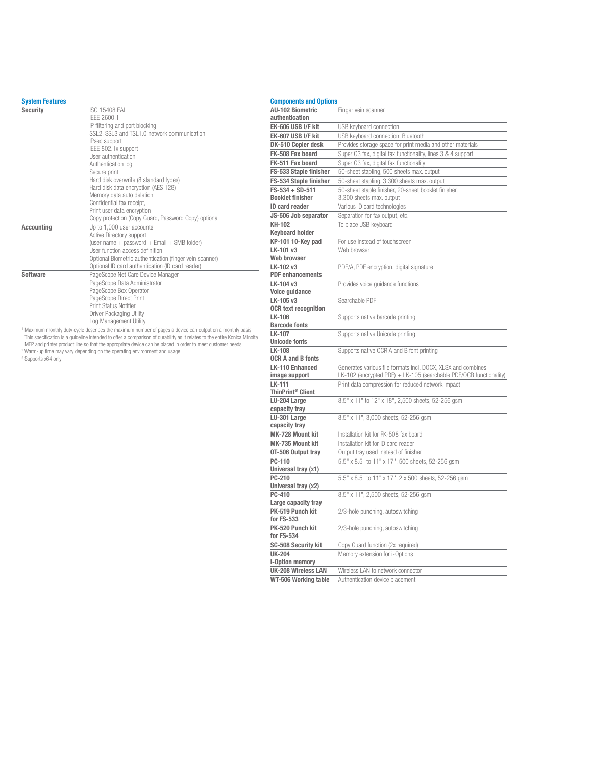#### System Features

| ojowni i vuturvo  |                                                         |
|-------------------|---------------------------------------------------------|
| <b>Security</b>   | ISO 15408 FAI<br>IFFF 2600.1                            |
|                   |                                                         |
|                   | IP filtering and port blocking                          |
|                   | SSL2, SSL3 and TSL1.0 network communication             |
|                   | IPsec support                                           |
|                   | IEEE 802.1x support                                     |
|                   | User authentication                                     |
|                   | Authentication log                                      |
|                   | Secure print                                            |
|                   | Hard disk overwrite (8 standard types)                  |
|                   | Hard disk data encryption (AES 128)                     |
|                   | Memory data auto deletion                               |
|                   | Confidential fax receipt,                               |
|                   | Print user data encryption                              |
|                   | Copy protection (Copy Guard, Password Copy) optional    |
| <b>Accounting</b> | Up to 1.000 user accounts                               |
|                   | Active Directory support                                |
|                   | (user name + password + Email + SMB folder)             |
|                   | User function access definition                         |
|                   | Optional Biometric authentication (finger vein scanner) |
|                   | Optional ID card authentication (ID card reader)        |
| Software          | PageScope Net Care Device Manager                       |
|                   | PageScope Data Administrator                            |
|                   | PageScope Box Operator                                  |
|                   | PageScope Direct Print                                  |
|                   | Print Status Notifier                                   |
|                   | Driver Packaging Utility                                |
|                   | Log Management Utility                                  |

Log Management Utility<br>
This specification stuy cycle describes the maximum number of pages a device can output on a monthly basis.<br>
This specification is a guideline intended to offer a comparison of durability as it rela

| <b>Components and Options</b>            |                                                                    |
|------------------------------------------|--------------------------------------------------------------------|
| <b>AU-102 Biometric</b>                  | Finger vein scanner                                                |
| authentication                           |                                                                    |
| EK-606 USB I/F kit                       | USB keyboard connection                                            |
| EK-607 USB I/F kit                       | USB keyboard connection, Bluetooth                                 |
| DK-510 Copier desk                       | Provides storage space for print media and other materials         |
| FK-508 Fax board                         | Super G3 fax, digital fax functionality, lines 3 & 4 support       |
| FK-511 Fax board                         | Super G3 fax, digital fax functionality                            |
| FS-533 Staple finisher                   | 50-sheet stapling, 500 sheets max. output                          |
| FS-534 Staple finisher                   | 50-sheet stapling, 3,300 sheets max. output                        |
| $FS-534 + SD-511$                        | 50-sheet staple finisher, 20-sheet booklet finisher,               |
| <b>Booklet finisher</b>                  | 3,300 sheets max. output                                           |
| ID card reader                           | Various ID card technologies                                       |
| JS-506 Job separator                     | Separation for fax output, etc.                                    |
| KH-102                                   | To place USB keyboard                                              |
| <b>Keyboard holder</b>                   |                                                                    |
| KP-101 10-Key pad                        | For use instead of touchscreen                                     |
| LK-101 v3                                | Web browser                                                        |
| Web browser                              |                                                                    |
| LK-102 v3                                | PDF/A, PDF encryption, digital signature                           |
| <b>PDF</b> enhancements                  |                                                                    |
| LK-104 v3                                | Provides voice guidance functions                                  |
| Voice guidance                           | Searchable PDF                                                     |
| LK-105 v3<br><b>OCR text recognition</b> |                                                                    |
| LK-106                                   |                                                                    |
| <b>Barcode fonts</b>                     | Supports native barcode printing                                   |
| LK-107                                   | Supports native Unicode printing                                   |
| <b>Unicode fonts</b>                     |                                                                    |
| LK-108                                   | Supports native OCR A and B font printing                          |
| <b>OCR A and B fonts</b>                 |                                                                    |
| <b>LK-110 Enhanced</b>                   | Generates various file formats incl. DOCX, XLSX and combines       |
| image support                            | LK-102 (encrypted PDF) + LK-105 (searchable PDF/OCR functionality) |
| LK-111                                   | Print data compression for reduced network impact                  |
| ThinPrint <sup>®</sup> Client            |                                                                    |
| LU-204 Large                             | 8.5" x 11" to 12" x 18", 2,500 sheets, 52-256 gsm                  |
| capacity tray                            |                                                                    |
| LU-301 Large                             | 8.5" x 11", 3,000 sheets, 52-256 qsm                               |
| capacity tray                            |                                                                    |
| MK-728 Mount kit                         | Installation kit for FK-508 fax board                              |
| MK-735 Mount kit                         | Installation kit for ID card reader                                |
| OT-506 Output tray                       | Output tray used instead of finisher                               |
| PC-110<br>Universal tray (x1)            | 5.5" x 8.5" to 11" x 17", 500 sheets, 52-256 gsm                   |
| PC-210                                   | 5.5" x 8.5" to 11" x 17", 2 x 500 sheets, 52-256 gsm               |
| Universal tray (x2)                      |                                                                    |
| PC-410                                   | 8.5" x 11", 2,500 sheets, 52-256 qsm                               |
| Large capacity tray                      |                                                                    |
| PK-519 Punch kit                         | 2/3-hole punching, autoswitching                                   |
| for FS-533                               |                                                                    |
| PK-520 Punch kit                         | 2/3-hole punching, autoswitching                                   |
| for FS-534                               |                                                                    |
| <b>SC-508 Security kit</b>               | Copy Guard function (2x required)                                  |
| <b>UK-204</b>                            | Memory extension for i-Options                                     |
| i-Option memory                          |                                                                    |
| UK-208 Wireless LAN                      | Wireless LAN to network connector                                  |
| WT-506 Working table                     | Authentication device placement                                    |